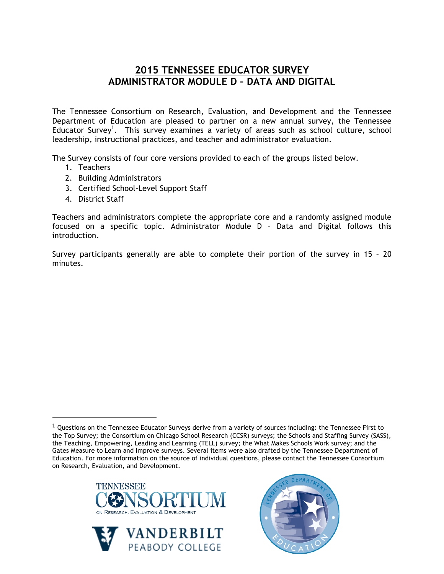## **2015 TENNESSEE EDUCATOR SURVEY ADMINISTRATOR MODULE D – DATA AND DIGITAL**

The Tennessee Consortium on Research, Evaluation, and Development and the Tennessee Department of Education are pleased to partner on a new annual survey, the Tennessee Educator Survey<sup>1</sup>. This survey examines a variety of areas such as school culture, school leadership, instructional practices, and teacher and administrator evaluation.

The Survey consists of four core versions provided to each of the groups listed below.

- 1. Teachers
- 2. Building Administrators
- 3. Certified School-Level Support Staff
- 4. District Staff

!!!!!!!!!!!!!!!!!!!!!!!!!!!!!!!!!!!!!!!!!!!!!!!!!!!!!!!

Teachers and administrators complete the appropriate core and a randomly assigned module focused on a specific topic. Administrator Module D – Data and Digital follows this introduction.

Survey participants generally are able to complete their portion of the survey in 15 – 20 minutes.

 $1$  Questions on the Tennessee Educator Surveys derive from a variety of sources including: the Tennessee First to the Top Survey; the Consortium on Chicago School Research (CCSR) surveys; the Schools and Staffing Survey (SASS), the Teaching, Empowering, Leading and Learning (TELL) survey; the What Makes Schools Work survey; and the Gates Measure to Learn and Improve surveys. Several items were also drafted by the Tennessee Department of Education. For more information on the source of individual questions, please contact the Tennessee Consortium on Research, Evaluation, and Development.





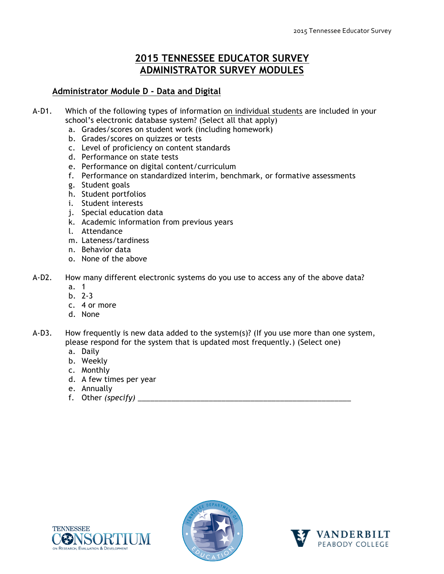## **2015 TENNESSEE EDUCATOR SURVEY ADMINISTRATOR SURVEY MODULES**

## **Administrator Module D - Data and Digital**

- A-D1. Which of the following types of information on individual students are included in your school's electronic database system? (Select all that apply)
	- a. Grades/scores on student work (including homework)
	- b. Grades/scores on quizzes or tests
	- c. Level of proficiency on content standards
	- d. Performance on state tests
	- e. Performance on digital content/curriculum
	- f. Performance on standardized interim, benchmark, or formative assessments
	- g. Student goals
	- h. Student portfolios
	- i. Student interests
	- j. Special education data
	- k. Academic information from previous years
	- l. Attendance
	- m. Lateness/tardiness
	- n. Behavior data
	- o. None of the above
- A-D2. How many different electronic systems do you use to access any of the above data?
	- a. 1
	- b. 2-3
	- c. 4 or more
	- d. None
- A-D3. How frequently is new data added to the system(s)? (If you use more than one system, please respond for the system that is updated most frequently.) (Select one)
	- a. Daily
	- b. Weekly
	- c. Monthly
	- d. A few times per year
	- e. Annually
	- f. Other *(specify)* \_\_\_\_\_\_\_\_\_\_\_\_\_\_\_\_\_\_\_\_\_\_\_\_\_\_\_\_\_\_\_\_\_\_\_\_\_\_\_\_\_\_\_\_\_\_\_\_\_\_\_





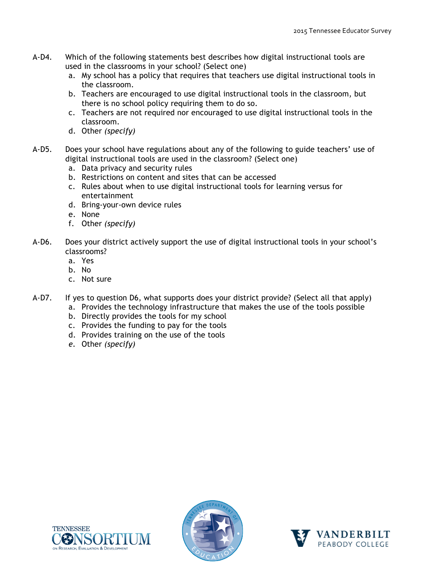- A-D4. Which of the following statements best describes how digital instructional tools are used in the classrooms in your school? (Select one)
	- a. My school has a policy that requires that teachers use digital instructional tools in the classroom.
	- b. Teachers are encouraged to use digital instructional tools in the classroom, but there is no school policy requiring them to do so.
	- c. Teachers are not required nor encouraged to use digital instructional tools in the classroom.
	- d. Other *(specify)*
- A-D5. Does your school have regulations about any of the following to guide teachers' use of digital instructional tools are used in the classroom? (Select one)
	- a. Data privacy and security rules
	- b. Restrictions on content and sites that can be accessed
	- c. Rules about when to use digital instructional tools for learning versus for entertainment
	- d. Bring-your-own device rules
	- e. None
	- f. Other *(specify)*
- A-D6. Does your district actively support the use of digital instructional tools in your school's classrooms?
	- a. Yes
	- b. No
	- c. Not sure
- A-D7. If yes to question D6, what supports does your district provide? (Select all that apply)
	- a. Provides the technology infrastructure that makes the use of the tools possible
		- b. Directly provides the tools for my school
		- c. Provides the funding to pay for the tools
		- d. Provides training on the use of the tools
		- *e.* Other *(specify)*